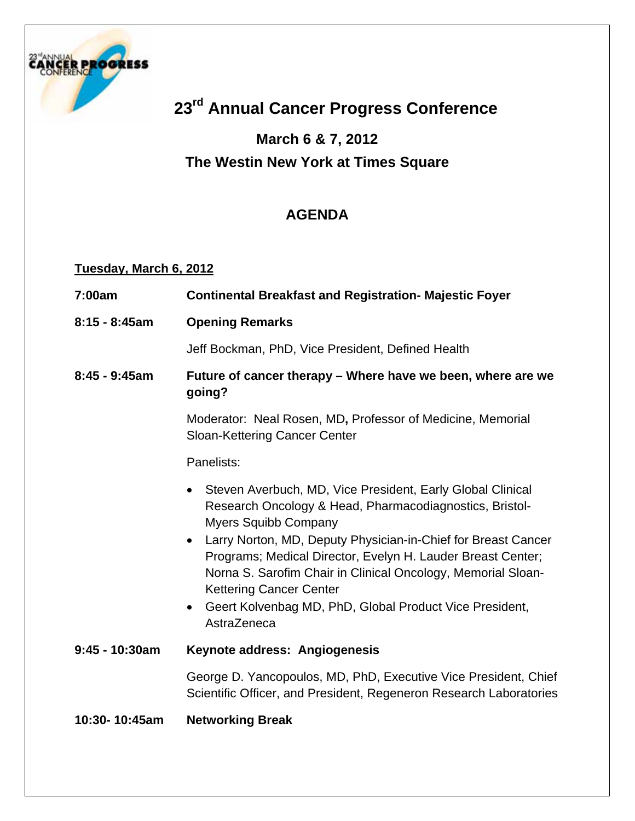

# **23rd Annual Cancer Progress Conference**

# **March 6 & 7, 2012 The Westin New York at Times Square**

# **AGENDA**

#### **Tuesday, March 6, 2012**

| 7:00am           | <b>Continental Breakfast and Registration- Majestic Foyer</b>                                                                                                                                                                                                                                                                                                                                                                                                                              |
|------------------|--------------------------------------------------------------------------------------------------------------------------------------------------------------------------------------------------------------------------------------------------------------------------------------------------------------------------------------------------------------------------------------------------------------------------------------------------------------------------------------------|
| $8:15 - 8:45am$  | <b>Opening Remarks</b>                                                                                                                                                                                                                                                                                                                                                                                                                                                                     |
|                  | Jeff Bockman, PhD, Vice President, Defined Health                                                                                                                                                                                                                                                                                                                                                                                                                                          |
| $8:45 - 9:45$ am | Future of cancer therapy – Where have we been, where are we<br>going?                                                                                                                                                                                                                                                                                                                                                                                                                      |
|                  | Moderator: Neal Rosen, MD, Professor of Medicine, Memorial<br><b>Sloan-Kettering Cancer Center</b>                                                                                                                                                                                                                                                                                                                                                                                         |
|                  | Panelists:                                                                                                                                                                                                                                                                                                                                                                                                                                                                                 |
|                  | Steven Averbuch, MD, Vice President, Early Global Clinical<br>Research Oncology & Head, Pharmacodiagnostics, Bristol-<br><b>Myers Squibb Company</b><br>Larry Norton, MD, Deputy Physician-in-Chief for Breast Cancer<br>$\bullet$<br>Programs; Medical Director, Evelyn H. Lauder Breast Center;<br>Norna S. Sarofim Chair in Clinical Oncology, Memorial Sloan-<br><b>Kettering Cancer Center</b><br>Geert Kolvenbag MD, PhD, Global Product Vice President,<br>$\bullet$<br>AstraZeneca |
| $9:45 - 10:30am$ | Keynote address: Angiogenesis                                                                                                                                                                                                                                                                                                                                                                                                                                                              |
|                  | George D. Yancopoulos, MD, PhD, Executive Vice President, Chief<br>Scientific Officer, and President, Regeneron Research Laboratories                                                                                                                                                                                                                                                                                                                                                      |
| 10:30-10:45am    | <b>Networking Break</b>                                                                                                                                                                                                                                                                                                                                                                                                                                                                    |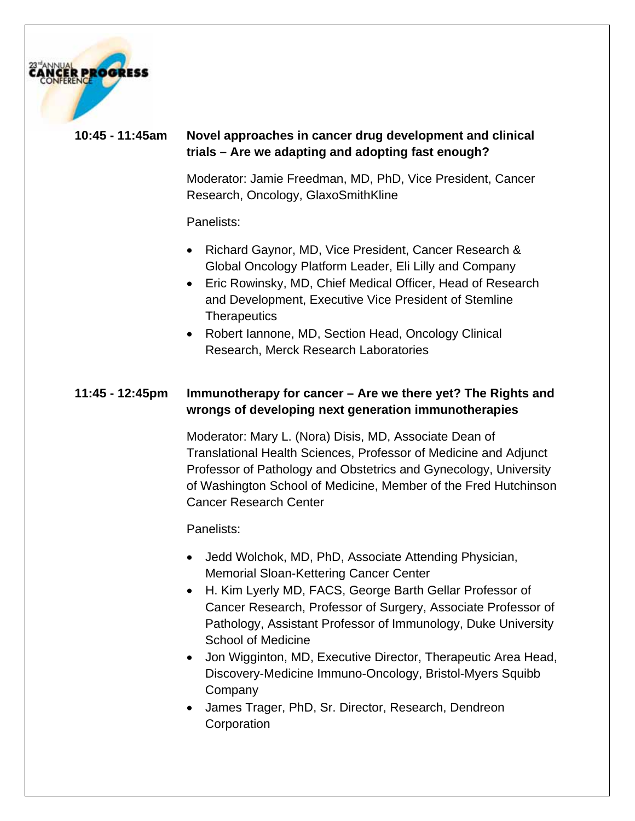

#### **10:45 - 11:45am Novel approaches in cancer drug development and clinical trials – Are we adapting and adopting fast enough?**

Moderator: Jamie Freedman, MD, PhD, Vice President, Cancer Research, Oncology, GlaxoSmithKline

Panelists:

- Richard Gaynor, MD, Vice President, Cancer Research & Global Oncology Platform Leader, Eli Lilly and Company
- Eric Rowinsky, MD, Chief Medical Officer, Head of Research and Development, Executive Vice President of Stemline **Therapeutics**
- Robert Iannone, MD, Section Head, Oncology Clinical Research, Merck Research Laboratories

#### **11:45 - 12:45pm Immunotherapy for cancer – Are we there yet? The Rights and wrongs of developing next generation immunotherapies**

Moderator: Mary L. (Nora) Disis, MD, Associate Dean of Translational Health Sciences, Professor of Medicine and Adjunct Professor of Pathology and Obstetrics and Gynecology, University of Washington School of Medicine, Member of the Fred Hutchinson Cancer Research Center

Panelists:

- Jedd Wolchok, MD, PhD, Associate Attending Physician, Memorial Sloan-Kettering Cancer Center
- H. Kim Lyerly MD, FACS, George Barth Gellar Professor of Cancer Research, Professor of Surgery, Associate Professor of Pathology, Assistant Professor of Immunology, Duke University School of Medicine
- Jon Wigginton, MD, Executive Director, Therapeutic Area Head, Discovery-Medicine Immuno-Oncology, Bristol-Myers Squibb Company
- James Trager, PhD, Sr. Director, Research, Dendreon **Corporation**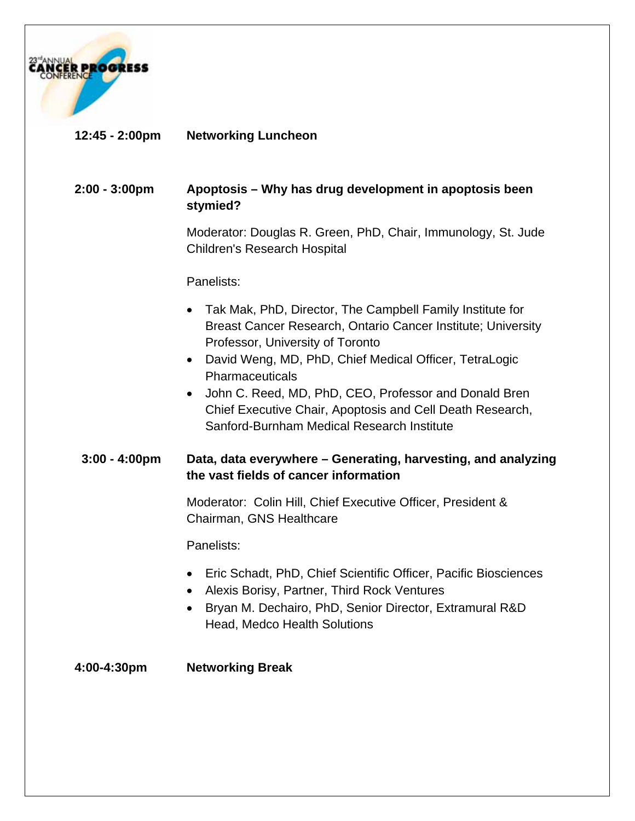

#### **12:45 - 2:00pm Networking Luncheon**

#### **2:00 - 3:00pm Apoptosis – Why has drug development in apoptosis been stymied?**

Moderator: Douglas R. Green, PhD, Chair, Immunology, St. Jude Children's Research Hospital

#### Panelists:

- Tak Mak, PhD, Director, The Campbell Family Institute for Breast Cancer Research, Ontario Cancer Institute; University Professor, University of Toronto
- David Weng, MD, PhD, Chief Medical Officer, TetraLogic Pharmaceuticals
- John C. Reed, MD, PhD, CEO, Professor and Donald Bren Chief Executive Chair, Apoptosis and Cell Death Research, Sanford-Burnham Medical Research Institute

#### **3:00 - 4:00pm Data, data everywhere – Generating, harvesting, and analyzing the vast fields of cancer information**

Moderator: Colin Hill, Chief Executive Officer, President & Chairman, GNS Healthcare

Panelists:

- Eric Schadt, PhD, Chief Scientific Officer, Pacific Biosciences
- Alexis Borisy, Partner, Third Rock Ventures
- Bryan M. Dechairo, PhD, Senior Director, Extramural R&D Head, Medco Health Solutions

**4:00-4:30pm Networking Break**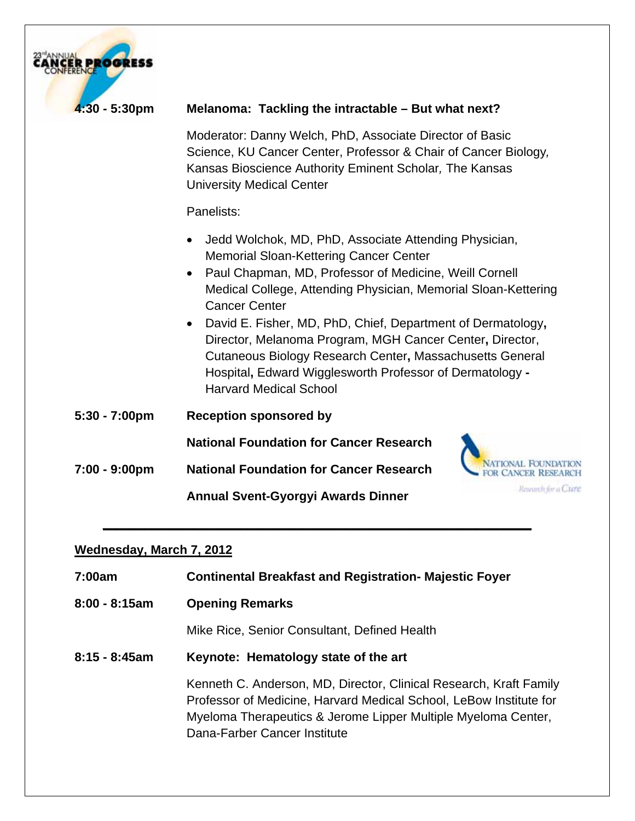| $4:30 - 5:30$ pm | Melanoma: Tackling the intractable - But what next?                                                                                                                                                                                                                                                                                                                                                                                                                                                                                     |
|------------------|-----------------------------------------------------------------------------------------------------------------------------------------------------------------------------------------------------------------------------------------------------------------------------------------------------------------------------------------------------------------------------------------------------------------------------------------------------------------------------------------------------------------------------------------|
|                  | Moderator: Danny Welch, PhD, Associate Director of Basic<br>Science, KU Cancer Center, Professor & Chair of Cancer Biology,<br>Kansas Bioscience Authority Eminent Scholar, The Kansas<br><b>University Medical Center</b>                                                                                                                                                                                                                                                                                                              |
|                  | Panelists:                                                                                                                                                                                                                                                                                                                                                                                                                                                                                                                              |
|                  | Jedd Wolchok, MD, PhD, Associate Attending Physician,<br>Memorial Sloan-Kettering Cancer Center<br>Paul Chapman, MD, Professor of Medicine, Weill Cornell<br>Medical College, Attending Physician, Memorial Sloan-Kettering<br><b>Cancer Center</b><br>David E. Fisher, MD, PhD, Chief, Department of Dermatology,<br>Director, Melanoma Program, MGH Cancer Center, Director,<br>Cutaneous Biology Research Center, Massachusetts General<br>Hospital, Edward Wigglesworth Professor of Dermatology -<br><b>Harvard Medical School</b> |
| $5:30 - 7:00$ pm | <b>Reception sponsored by</b>                                                                                                                                                                                                                                                                                                                                                                                                                                                                                                           |
|                  | <b>National Foundation for Cancer Research</b>                                                                                                                                                                                                                                                                                                                                                                                                                                                                                          |
| 7:00 - 9:00pm    | <b>National Foundation for Cancer Research</b>                                                                                                                                                                                                                                                                                                                                                                                                                                                                                          |
|                  | Research for a Curre<br><b>Annual Svent-Gyorgyi Awards Dinner</b>                                                                                                                                                                                                                                                                                                                                                                                                                                                                       |

| 7:00am           | <b>Continental Breakfast and Registration- Majestic Foyer</b>                                                                                                                                                                             |
|------------------|-------------------------------------------------------------------------------------------------------------------------------------------------------------------------------------------------------------------------------------------|
| $8:00 - 8:15am$  | <b>Opening Remarks</b>                                                                                                                                                                                                                    |
|                  | Mike Rice, Senior Consultant, Defined Health                                                                                                                                                                                              |
| $8:15 - 8:45$ am | Keynote: Hematology state of the art                                                                                                                                                                                                      |
|                  | Kenneth C. Anderson, MD, Director, Clinical Research, Kraft Family<br>Professor of Medicine, Harvard Medical School, LeBow Institute for<br>Myeloma Therapeutics & Jerome Lipper Multiple Myeloma Center,<br>Dana-Farber Cancer Institute |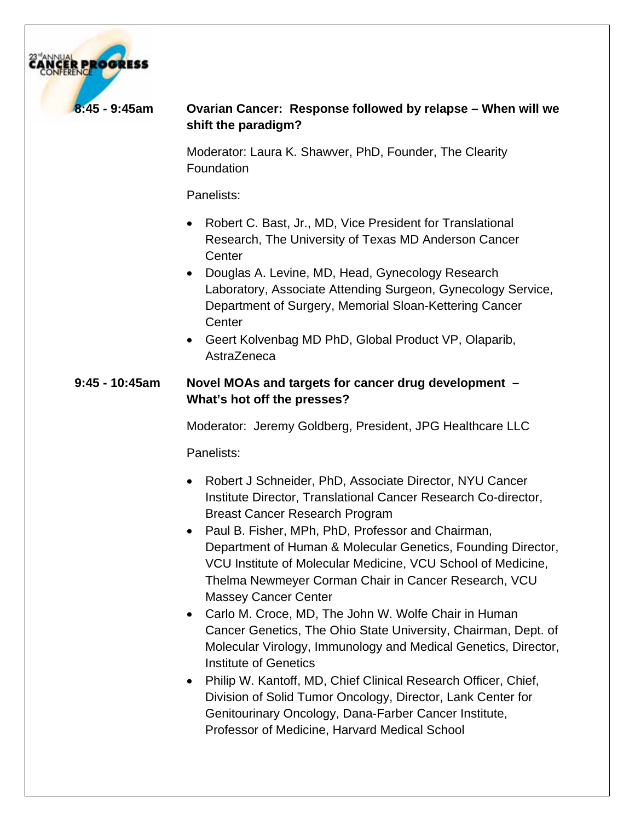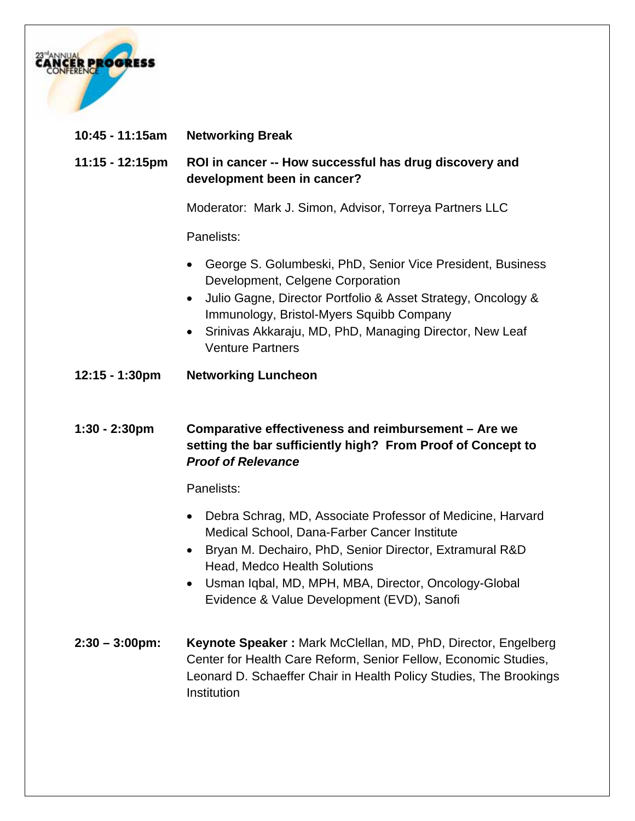

| 10:45 - 11:15am           | <b>Networking Break</b>                                                                                                                                                                                                                                                                                                                           |
|---------------------------|---------------------------------------------------------------------------------------------------------------------------------------------------------------------------------------------------------------------------------------------------------------------------------------------------------------------------------------------------|
| $11:15 - 12:15$ pm        | ROI in cancer -- How successful has drug discovery and<br>development been in cancer?                                                                                                                                                                                                                                                             |
|                           | Moderator: Mark J. Simon, Advisor, Torreya Partners LLC                                                                                                                                                                                                                                                                                           |
|                           | Panelists:                                                                                                                                                                                                                                                                                                                                        |
|                           | George S. Golumbeski, PhD, Senior Vice President, Business<br>$\bullet$<br>Development, Celgene Corporation<br>Julio Gagne, Director Portfolio & Asset Strategy, Oncology &<br>٠<br>Immunology, Bristol-Myers Squibb Company<br>Srinivas Akkaraju, MD, PhD, Managing Director, New Leaf<br>$\bullet$<br><b>Venture Partners</b>                   |
| $12:15 - 1:30$ pm         | <b>Networking Luncheon</b>                                                                                                                                                                                                                                                                                                                        |
| $1:30 - 2:30$ pm          | Comparative effectiveness and reimbursement - Are we<br>setting the bar sufficiently high? From Proof of Concept to<br><b>Proof of Relevance</b>                                                                                                                                                                                                  |
|                           | Panelists:                                                                                                                                                                                                                                                                                                                                        |
|                           | Debra Schrag, MD, Associate Professor of Medicine, Harvard<br>$\bullet$<br>Medical School, Dana-Farber Cancer Institute<br>Bryan M. Dechairo, PhD, Senior Director, Extramural R&D<br>٠<br><b>Head, Medco Health Solutions</b><br>Usman Iqbal, MD, MPH, MBA, Director, Oncology-Global<br>$\bullet$<br>Evidence & Value Development (EVD), Sanofi |
| $2:30 - 3:00 \text{pm}$ : | Keynote Speaker: Mark McClellan, MD, PhD, Director, Engelberg<br>Center for Health Care Reform, Senior Fellow, Economic Studies,<br>Leonard D. Schaeffer Chair in Health Policy Studies, The Brookings<br>Institution                                                                                                                             |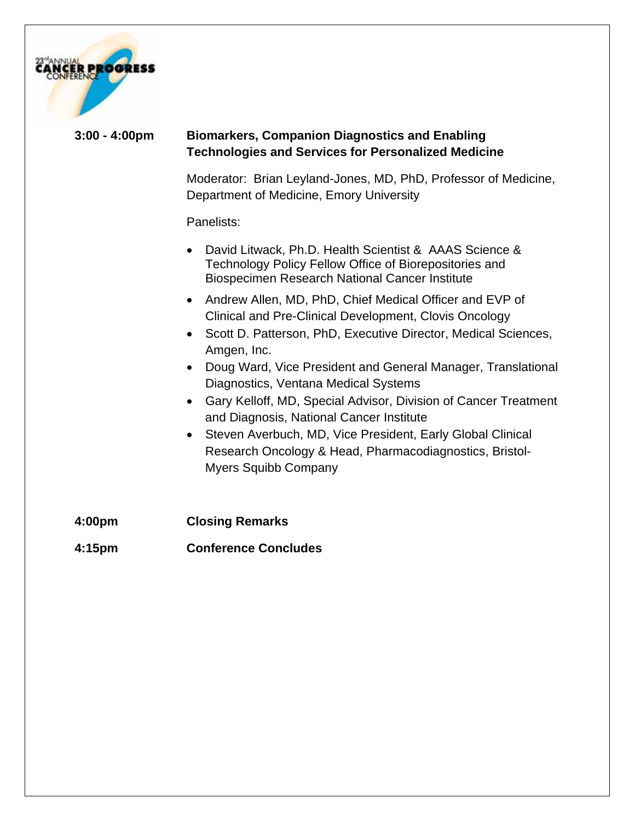

#### **3:00 - 4:00pm Biomarkers, Companion Diagnostics and Enabling Technologies and Services for Personalized Medicine**

Moderator: Brian Leyland-Jones, MD, PhD, Professor of Medicine, Department of Medicine, Emory University

#### Panelists:

- David Litwack, Ph.D. Health Scientist & AAAS Science & Technology Policy Fellow Office of Biorepositories and Biospecimen Research National Cancer Institute
- Andrew Allen, MD, PhD, Chief Medical Officer and EVP of Clinical and Pre-Clinical Development, Clovis Oncology
- Scott D. Patterson, PhD, Executive Director, Medical Sciences, Amgen, Inc.
- Doug Ward, Vice President and General Manager, Translational Diagnostics, Ventana Medical Systems
- Gary Kelloff, MD, Special Advisor, Division of Cancer Treatment and Diagnosis, National Cancer Institute
- Steven Averbuch, MD, Vice President, Early Global Clinical Research Oncology & Head, Pharmacodiagnostics, Bristol-Myers Squibb Company
- **4:00pm Closing Remarks 4:15pm Conference Concludes**